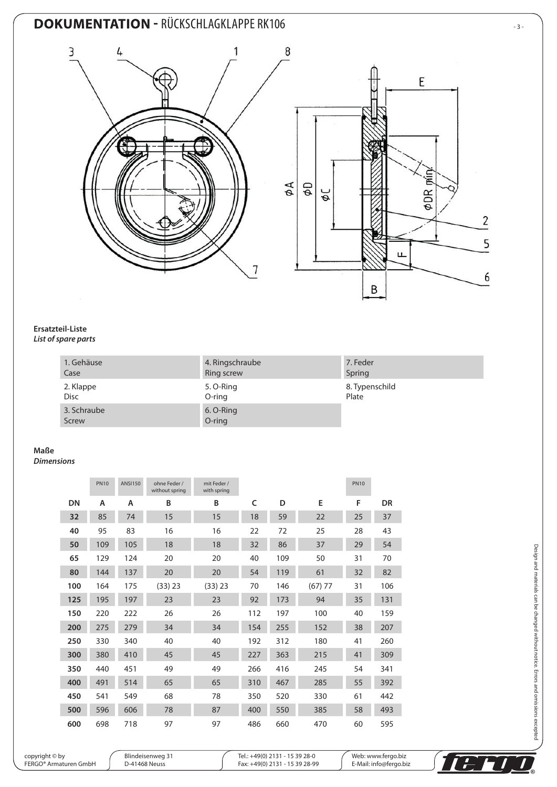# **DOKUMENTATION - RÜCKSCHLAGKLAPPE RK106** 33-





#### **Ersatzteil-Liste** *List of spare parts*

#### 1. Gehäuse Case 4. Ringschraube Ring screw 7. Feder Spring 2. Klappe Disc 5. O-Ring O-ring 8. Typenschild Plate 3. Schraube Screw 6. O-Ring O-ring

### **Maße**

*Dimensions*

|     | <b>PN10</b> | <b>ANSI150</b> | ohne Feder /<br>without spring | mit Feder /<br>with spring |     |     |           | <b>PN10</b> |           |
|-----|-------------|----------------|--------------------------------|----------------------------|-----|-----|-----------|-------------|-----------|
| DN  | A           | A              | B                              | B                          | c   | D   | E         | F           | <b>DR</b> |
| 32  | 85          | 74             | 15                             | 15                         | 18  | 59  | 22        | 25          | 37        |
| 40  | 95          | 83             | 16                             | 16                         | 22  | 72  | 25        | 28          | 43        |
| 50  | 109         | 105            | 18                             | 18                         | 32  | 86  | 37        | 29          | 54        |
| 65  | 129         | 124            | 20                             | 20                         | 40  | 109 | 50        | 31          | 70        |
| 80  | 144         | 137            | 20                             | 20                         | 54  | 119 | 61        | 32          | 82        |
| 100 | 164         | 175            | (33) 23                        | (33) 23                    | 70  | 146 | $(67)$ 77 | 31          | 106       |
| 125 | 195         | 197            | 23                             | 23                         | 92  | 173 | 94        | 35          | 131       |
| 150 | 220         | 222            | 26                             | 26                         | 112 | 197 | 100       | 40          | 159       |
| 200 | 275         | 279            | 34                             | 34                         | 154 | 255 | 152       | 38          | 207       |
| 250 | 330         | 340            | 40                             | 40                         | 192 | 312 | 180       | 41          | 260       |
| 300 | 380         | 410            | 45                             | 45                         | 227 | 363 | 215       | 41          | 309       |
| 350 | 440         | 451            | 49                             | 49                         | 266 | 416 | 245       | 54          | 341       |
| 400 | 491         | 514            | 65                             | 65                         | 310 | 467 | 285       | 55          | 392       |
| 450 | 541         | 549            | 68                             | 78                         | 350 | 520 | 330       | 61          | 442       |
| 500 | 596         | 606            | 78                             | 87                         | 400 | 550 | 385       | 58          | 493       |
| 600 | 698         | 718            | 97                             | 97                         | 486 | 660 | 470       | 60          | 595       |

copyright © by FERGO® Armaturen GmbH

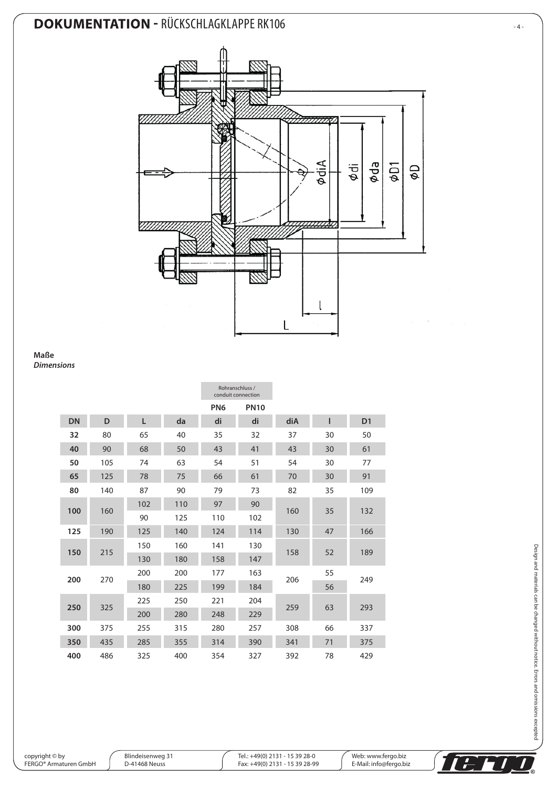# **DOKUMENTATION - RÜCKSCHLAGKLAPPE RK106**  $-4$



**Maße** *Dimensions*

|           |     |     |     | Rohranschluss /<br>conduit connection |             |     |    |                |
|-----------|-----|-----|-----|---------------------------------------|-------------|-----|----|----------------|
|           |     |     |     | PN <sub>6</sub>                       | <b>PN10</b> |     |    |                |
| <b>DN</b> | D   | Г   | da  | di                                    | di          | diA | ı  | D <sub>1</sub> |
| 32        | 80  | 65  | 40  | 35                                    | 32          | 37  | 30 | 50             |
| 40        | 90  | 68  | 50  | 43                                    | 41          | 43  | 30 | 61             |
| 50        | 105 | 74  | 63  | 54                                    | 51          | 54  | 30 | 77             |
| 65        | 125 | 78  | 75  | 66                                    | 61          | 70  | 30 | 91             |
| 80        | 140 | 87  | 90  | 79                                    | 73          | 82  | 35 | 109            |
| 100       | 160 | 102 | 110 | 97                                    | 90          | 160 | 35 | 132            |
|           |     | 90  | 125 | 110                                   | 102         |     |    |                |
| 125       | 190 | 125 | 140 | 124                                   | 114         | 130 | 47 | 166            |
| 150       | 215 | 150 | 160 | 141                                   | 130         | 158 | 52 | 189            |
|           |     | 130 | 180 | 158                                   | 147         |     |    |                |
| 200       | 270 | 200 | 200 | 177                                   | 163         | 206 | 55 | 249            |
|           |     | 180 | 225 | 199                                   | 184         |     | 56 |                |
| 250       | 325 | 225 | 250 | 221                                   | 204         | 259 | 63 | 293            |
|           |     | 200 | 280 | 248                                   | 229         |     |    |                |
| 300       | 375 | 255 | 315 | 280                                   | 257         | 308 | 66 | 337            |
| 350       | 435 | 285 | 355 | 314                                   | 390         | 341 | 71 | 375            |
| 400       | 486 | 325 | 400 | 354                                   | 327         | 392 | 78 | 429            |

copyright © by FERGO® Armaturen GmbH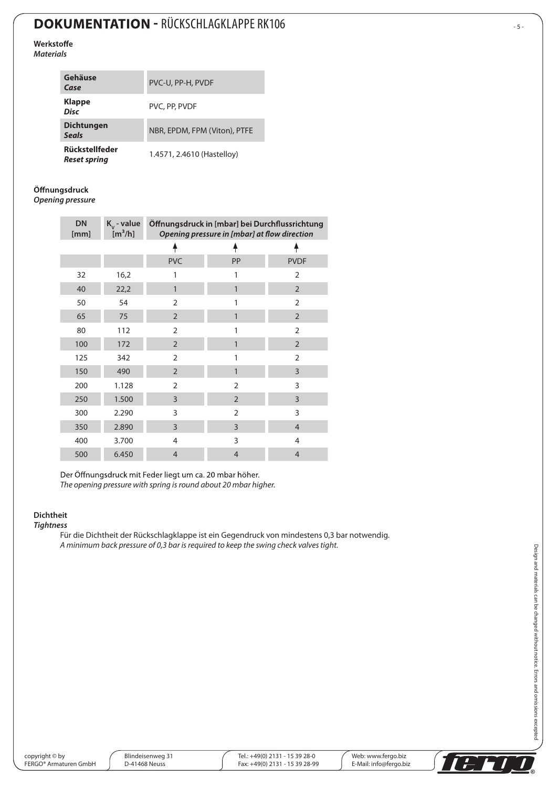# **DOKUMENTATION - RÜCKSCHLAGKLAPPE RK106** FOR THE SET ON THE SET OF SET ON THE SET OF SET OF SET OF SET OF SET OF SET OF SET OF SET OF SET OF SET OF SET OF SET OF SET OF SET OF SET OF SET OF SET OF SET OF SET OF SET OF SET

Werkstoffe *Materials*

| Gehäuse<br>Case                       | PVC-U, PP-H, PVDF            |
|---------------------------------------|------------------------------|
| <b>Klappe</b><br><b>Disc</b>          | PVC, PP, PVDF                |
| <b>Dichtungen</b><br><b>Seals</b>     | NBR, EPDM, FPM (Viton), PTFE |
| Rückstellfeder<br><b>Reset spring</b> | 1.4571, 2.4610 (Hastelloy)   |

Öffnungsdruck

*Opening pressure*

| <b>DN</b><br>[mm] | $K_v$ - value<br>$\mathrm{[m^3/h]}$ | Öffnungsdruck in [mbar] bei Durchflussrichtung<br>Opening pressure in [mbar] at flow direction |                |                |  |  |
|-------------------|-------------------------------------|------------------------------------------------------------------------------------------------|----------------|----------------|--|--|
|                   |                                     |                                                                                                |                |                |  |  |
|                   |                                     | <b>PVC</b>                                                                                     | PP             | <b>PVDF</b>    |  |  |
| 32                | 16,2                                | 1                                                                                              | 1              | $\overline{2}$ |  |  |
| 40                | 22,2                                | 1                                                                                              | 1              | $\overline{2}$ |  |  |
| 50                | 54                                  | $\overline{2}$                                                                                 | 1              | $\overline{2}$ |  |  |
| 65                | 75                                  | $\overline{2}$                                                                                 | $\mathbf{1}$   | $\overline{2}$ |  |  |
| 80                | 112                                 | $\overline{2}$                                                                                 | 1              | $\overline{2}$ |  |  |
| 100               | 172                                 | $\overline{2}$                                                                                 | $\mathbf{1}$   | $\overline{2}$ |  |  |
| 125               | 342                                 | $\overline{2}$                                                                                 | 1              | $\overline{2}$ |  |  |
| 150               | 490                                 | $\overline{2}$                                                                                 | 1              | 3              |  |  |
| 200               | 1.128                               | $\overline{2}$                                                                                 | $\overline{2}$ | 3              |  |  |
| 250               | 1.500                               | 3                                                                                              | $\overline{2}$ | 3              |  |  |
| 300               | 2.290                               | 3                                                                                              | $\overline{2}$ | 3              |  |  |
| 350               | 2.890                               | 3                                                                                              | 3              | $\overline{4}$ |  |  |
| 400               | 3.700                               | $\overline{4}$                                                                                 | 3              | 4              |  |  |
| 500               | 6.450                               | $\overline{4}$                                                                                 | $\overline{4}$ | $\overline{4}$ |  |  |

Der Öffnungsdruck mit Feder liegt um ca. 20 mbar höher. *The opening pressure with spring is round about 20 mbar higher.*

### **Dichtheit**

#### *Tightness*

Für die Dichtheit der Rückschlagklappe ist ein Gegendruck von mindestens 0,3 bar notwendig. *A minimum back pressure of 0,3 bar is required to keep the swing check valves tight.*